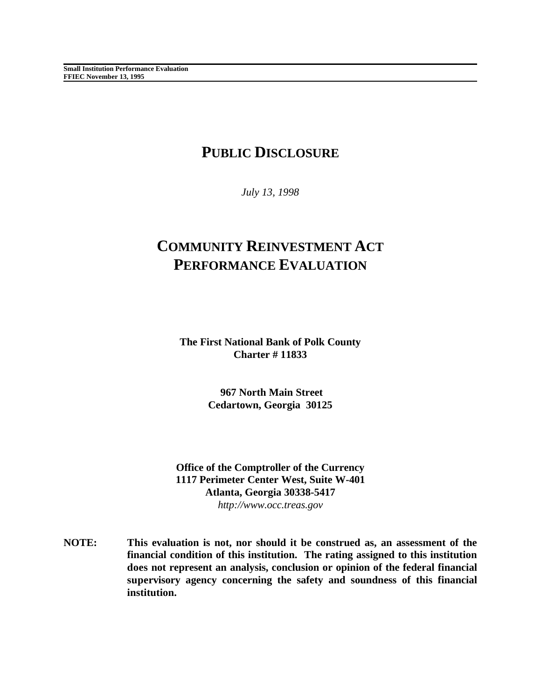## **PUBLIC DISCLOSURE**

*July 13, 1998*

# **COMMUNITY REINVESTMENT ACT PERFORMANCE EVALUATION**

**The First National Bank of Polk County Charter # 11833**

> **967 North Main Street Cedartown, Georgia 30125**

**Office of the Comptroller of the Currency 1117 Perimeter Center West, Suite W-401 Atlanta, Georgia 30338-5417** *http://www.occ.treas.gov*

**NOTE: This evaluation is not, nor should it be construed as, an assessment of the financial condition of this institution. The rating assigned to this institution does not represent an analysis, conclusion or opinion of the federal financial supervisory agency concerning the safety and soundness of this financial institution.**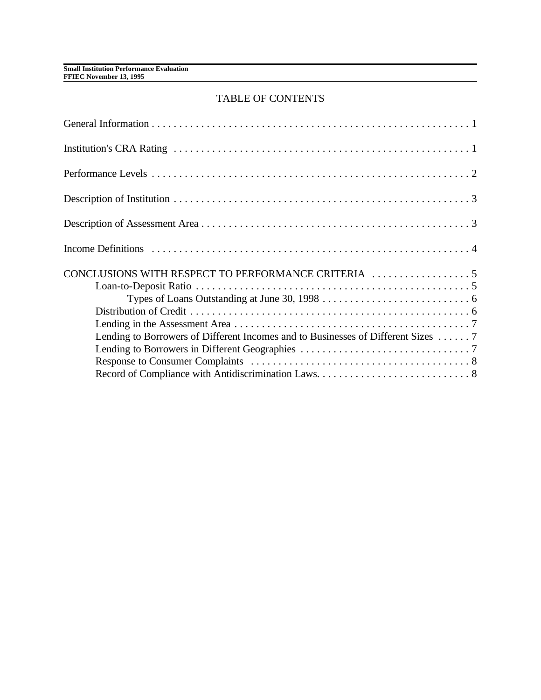## TABLE OF CONTENTS

| Lending to Borrowers of Different Incomes and to Businesses of Different Sizes  7 |  |
|-----------------------------------------------------------------------------------|--|
|                                                                                   |  |
|                                                                                   |  |
|                                                                                   |  |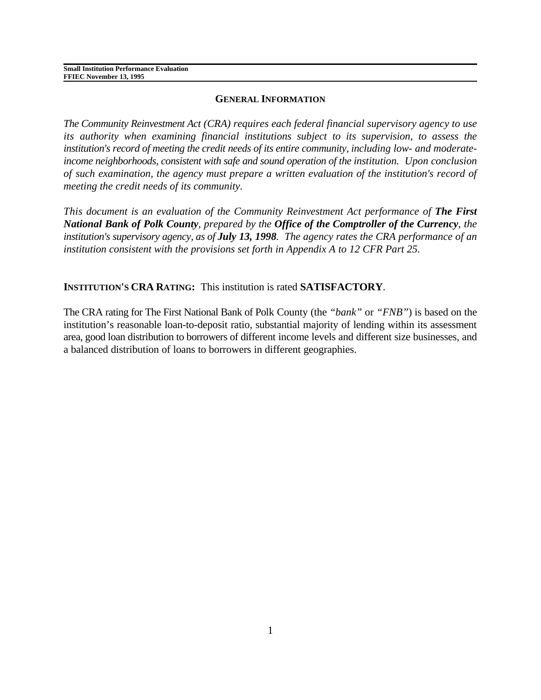#### **GENERAL INFORMATION**

*The Community Reinvestment Act (CRA) requires each federal financial supervisory agency to use its authority when examining financial institutions subject to its supervision, to assess the institution's record of meeting the credit needs of its entire community, including low- and moderateincome neighborhoods, consistent with safe and sound operation of the institution. Upon conclusion of such examination, the agency must prepare a written evaluation of the institution's record of meeting the credit needs of its community.* 

*This document is an evaluation of the Community Reinvestment Act performance of The First National Bank of Polk County, prepared by the Office of the Comptroller of the Currency, the institution's supervisory agency, as of July 13, 1998. The agency rates the CRA performance of an institution consistent with the provisions set forth in Appendix A to 12 CFR Part 25.* 

## **INSTITUTION'S CRA RATING:** This institution is rated **SATISFACTORY**.

The CRA rating for The First National Bank of Polk County (the *"bank"* or *"FNB"*) is based on the institution's reasonable loan-to-deposit ratio, substantial majority of lending within its assessment area, good loan distribution to borrowers of different income levels and different size businesses, and a balanced distribution of loans to borrowers in different geographies.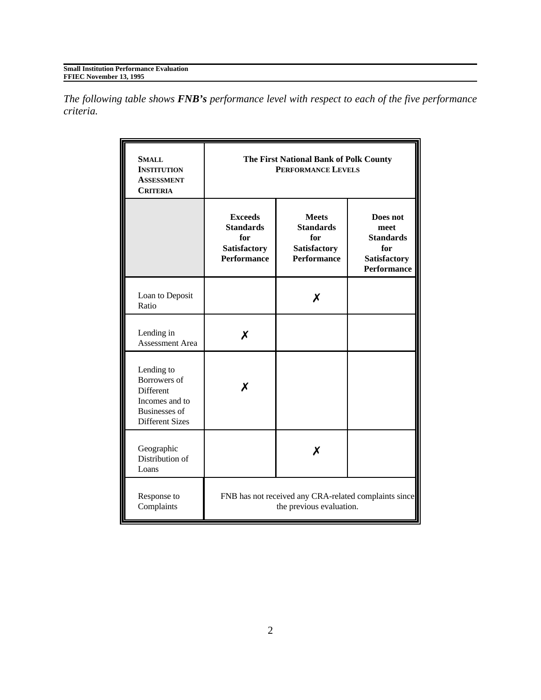*The following table shows FNB's performance level with respect to each of the five performance criteria.*

| <b>SMALL</b><br><b>INSTITUTION</b><br><b>ASSESSMENT</b><br><b>CRITERIA</b>                                         | The First National Bank of Polk County<br><b>PERFORMANCE LEVELS</b>               |                                                                                      |                                                                                          |  |  |  |  |
|--------------------------------------------------------------------------------------------------------------------|-----------------------------------------------------------------------------------|--------------------------------------------------------------------------------------|------------------------------------------------------------------------------------------|--|--|--|--|
|                                                                                                                    | <b>Exceeds</b><br><b>Standards</b><br>for<br>Satisfactory<br><b>Performance</b>   | <b>Meets</b><br><b>Standards</b><br>for<br><b>Satisfactory</b><br><b>Performance</b> | Does not<br>meet<br><b>Standards</b><br>for<br><b>Satisfactory</b><br><b>Performance</b> |  |  |  |  |
| Loan to Deposit<br>Ratio                                                                                           |                                                                                   | х                                                                                    |                                                                                          |  |  |  |  |
| Lending in<br><b>Assessment Area</b>                                                                               | X                                                                                 |                                                                                      |                                                                                          |  |  |  |  |
| Lending to<br>Borrowers of<br><b>Different</b><br>Incomes and to<br><b>Businesses</b> of<br><b>Different Sizes</b> | Х                                                                                 |                                                                                      |                                                                                          |  |  |  |  |
| Geographic<br>Distribution of<br>Loans                                                                             |                                                                                   | х                                                                                    |                                                                                          |  |  |  |  |
| Response to<br>Complaints                                                                                          | FNB has not received any CRA-related complaints since<br>the previous evaluation. |                                                                                      |                                                                                          |  |  |  |  |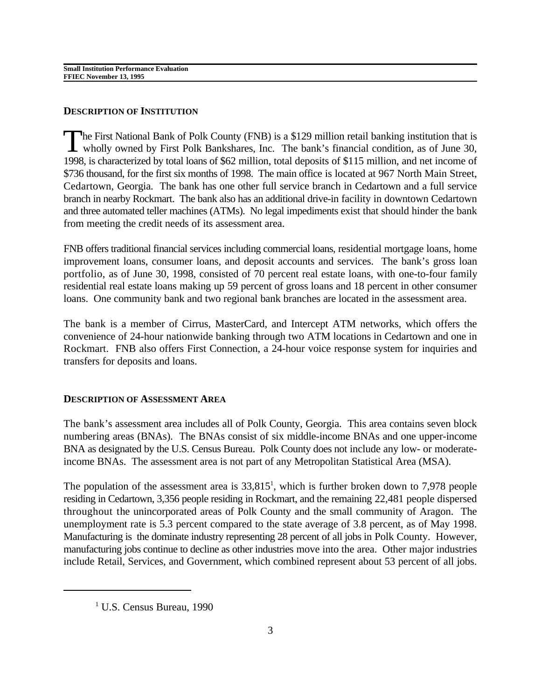### **DESCRIPTION OF INSTITUTION**

The First National Bank of Polk County (FNB) is a \$129 million retail banking institution that is wholly owned by First Polk Bankshares, Inc. The bank's financial condition, as of June 30, 1998, is characterized by total loans of \$62 million, total deposits of \$115 million, and net income of \$736 thousand, for the first six months of 1998. The main office is located at 967 North Main Street, Cedartown, Georgia. The bank has one other full service branch in Cedartown and a full service branch in nearby Rockmart. The bank also has an additional drive-in facility in downtown Cedartown and three automated teller machines (ATMs). No legal impediments exist that should hinder the bank from meeting the credit needs of its assessment area.

FNB offers traditional financial services including commercial loans, residential mortgage loans, home improvement loans, consumer loans, and deposit accounts and services. The bank's gross loan portfolio, as of June 30, 1998, consisted of 70 percent real estate loans, with one-to-four family residential real estate loans making up 59 percent of gross loans and 18 percent in other consumer loans. One community bank and two regional bank branches are located in the assessment area.

The bank is a member of Cirrus, MasterCard, and Intercept ATM networks, which offers the convenience of 24-hour nationwide banking through two ATM locations in Cedartown and one in Rockmart. FNB also offers First Connection, a 24-hour voice response system for inquiries and transfers for deposits and loans.

#### **DESCRIPTION OF ASSESSMENT AREA**

The bank's assessment area includes all of Polk County, Georgia. This area contains seven block numbering areas (BNAs). The BNAs consist of six middle-income BNAs and one upper-income BNA as designated by the U.S. Census Bureau. Polk County does not include any low- or moderateincome BNAs. The assessment area is not part of any Metropolitan Statistical Area (MSA).

The population of the assessment area is  $33,815<sup>1</sup>$ , which is further broken down to 7,978 people residing in Cedartown, 3,356 people residing in Rockmart, and the remaining 22,481 people dispersed throughout the unincorporated areas of Polk County and the small community of Aragon. The unemployment rate is 5.3 percent compared to the state average of 3.8 percent, as of May 1998. Manufacturing is the dominate industry representing 28 percent of all jobs in Polk County. However, manufacturing jobs continue to decline as other industries move into the area. Other major industries include Retail, Services, and Government, which combined represent about 53 percent of all jobs.

 $1$  U.S. Census Bureau, 1990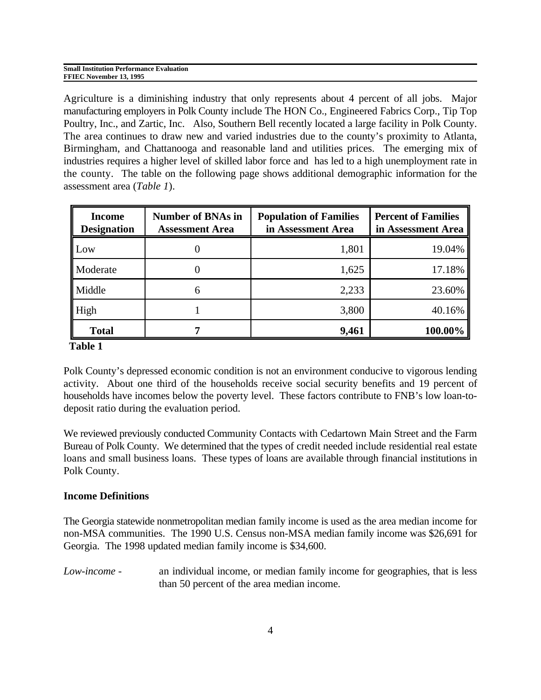| <b>Small Institution Performance Evaluation</b> |  |
|-------------------------------------------------|--|
| FFIEC November 13, 1995                         |  |

Agriculture is a diminishing industry that only represents about 4 percent of all jobs. Major manufacturing employers in Polk County include The HON Co., Engineered Fabrics Corp., Tip Top Poultry, Inc., and Zartic, Inc. Also, Southern Bell recently located a large facility in Polk County. The area continues to draw new and varied industries due to the county's proximity to Atlanta, Birmingham, and Chattanooga and reasonable land and utilities prices. The emerging mix of industries requires a higher level of skilled labor force and has led to a high unemployment rate in the county. The table on the following page shows additional demographic information for the assessment area (*Table 1*).

| <b>Income</b><br><b>Designation</b> | <b>Number of BNAs in</b><br><b>Assessment Area</b> | <b>Population of Families</b><br>in Assessment Area | <b>Percent of Families</b><br>in Assessment Area |  |
|-------------------------------------|----------------------------------------------------|-----------------------------------------------------|--------------------------------------------------|--|
| Low                                 |                                                    | 1,801                                               | 19.04%                                           |  |
| <b>Moderate</b>                     |                                                    | 1,625                                               | 17.18%                                           |  |
| Middle                              | b                                                  | 2,233                                               | 23.60%                                           |  |
| High                                |                                                    | 3,800                                               | 40.16%                                           |  |
| <b>Total</b>                        |                                                    | 9,461                                               | 100.00%                                          |  |

 **Table 1**

Polk County's depressed economic condition is not an environment conducive to vigorous lending activity. About one third of the households receive social security benefits and 19 percent of households have incomes below the poverty level. These factors contribute to FNB's low loan-todeposit ratio during the evaluation period.

We reviewed previously conducted Community Contacts with Cedartown Main Street and the Farm Bureau of Polk County. We determined that the types of credit needed include residential real estate loans and small business loans. These types of loans are available through financial institutions in Polk County.

#### **Income Definitions**

The Georgia statewide nonmetropolitan median family income is used as the area median income for non-MSA communities. The 1990 U.S. Census non-MSA median family income was \$26,691 for Georgia. The 1998 updated median family income is \$34,600.

*Low-income* - an individual income, or median family income for geographies, that is less than 50 percent of the area median income.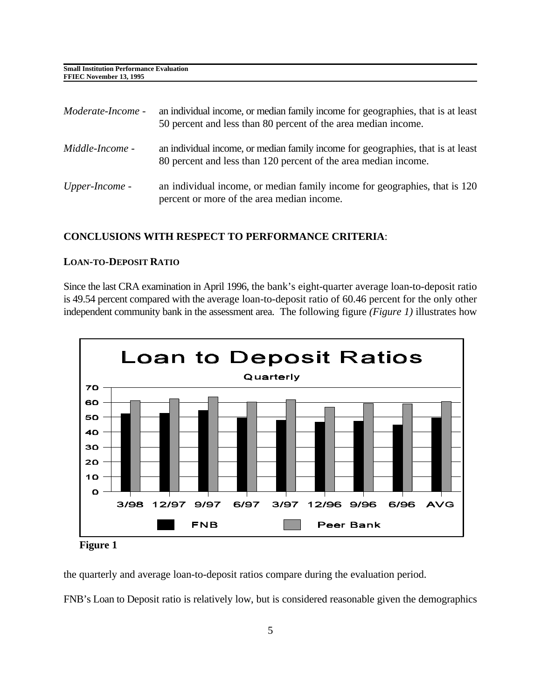| Moderate-Income - | an individual income, or median family income for geographies, that is at least<br>50 percent and less than 80 percent of the area median income.  |
|-------------------|----------------------------------------------------------------------------------------------------------------------------------------------------|
| Middle-Income -   | an individual income, or median family income for geographies, that is at least<br>80 percent and less than 120 percent of the area median income. |
| Upper-Income -    | an individual income, or median family income for geographies, that is 120<br>percent or more of the area median income.                           |

#### **CONCLUSIONS WITH RESPECT TO PERFORMANCE CRITERIA**:

#### **LOAN-TO-DEPOSIT RATIO**

Since the last CRA examination in April 1996, the bank's eight-quarter average loan-to-deposit ratio is 49.54 percent compared with the average loan-to-deposit ratio of 60.46 percent for the only other independent community bank in the assessment area. The following figure *(Figure 1)* illustrates how



**Figure 1**

the quarterly and average loan-to-deposit ratios compare during the evaluation period.

FNB's Loan to Deposit ratio is relatively low, but is considered reasonable given the demographics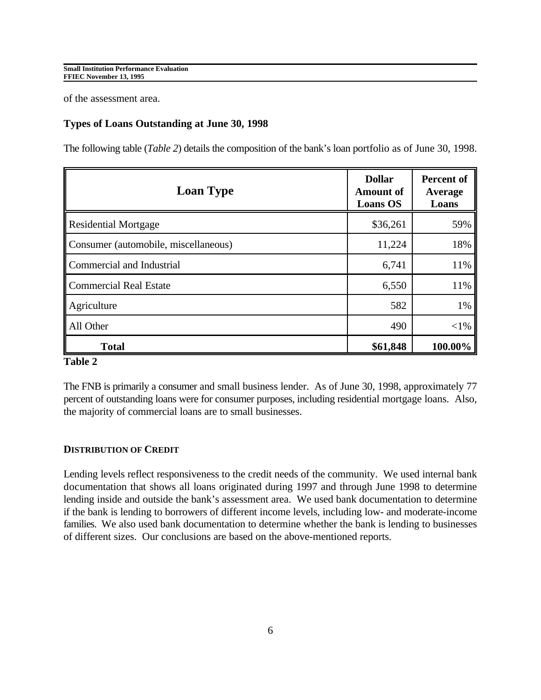of the assessment area.

#### **Types of Loans Outstanding at June 30, 1998**

The following table (*Table 2*) details the composition of the bank's loan portfolio as of June 30, 1998.

| <b>Loan Type</b>                     | <b>Dollar</b><br><b>Amount of</b><br><b>Loans OS</b> | <b>Percent of</b><br>Average<br>Loans |
|--------------------------------------|------------------------------------------------------|---------------------------------------|
| <b>Residential Mortgage</b>          | \$36,261                                             | 59%                                   |
| Consumer (automobile, miscellaneous) | 11,224                                               | 18%                                   |
| Commercial and Industrial            | 6,741                                                | 11%                                   |
| <b>Commercial Real Estate</b>        | 6,550                                                | 11%                                   |
| Agriculture                          | 582                                                  | 1%                                    |
| All Other                            | 490                                                  | $<$ 1%                                |
| <b>Total</b>                         | \$61,848                                             | 100.00%                               |

#### **Table 2**

The FNB is primarily a consumer and small business lender. As of June 30, 1998, approximately 77 percent of outstanding loans were for consumer purposes, including residential mortgage loans. Also, the majority of commercial loans are to small businesses.

#### **DISTRIBUTION OF CREDIT**

Lending levels reflect responsiveness to the credit needs of the community. We used internal bank documentation that shows all loans originated during 1997 and through June 1998 to determine lending inside and outside the bank's assessment area. We used bank documentation to determine if the bank is lending to borrowers of different income levels, including low- and moderate-income families. We also used bank documentation to determine whether the bank is lending to businesses of different sizes. Our conclusions are based on the above-mentioned reports.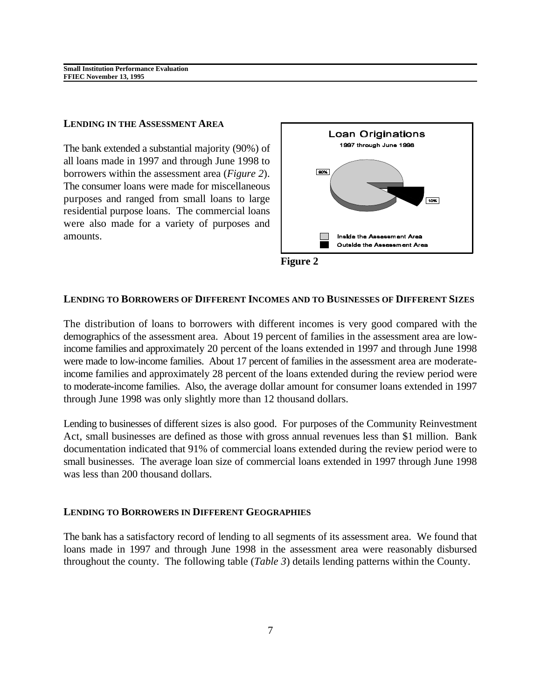#### **LENDING IN THE ASSESSMENT AREA**

The bank extended a substantial majority (90%) of all loans made in 1997 and through June 1998 to borrowers within the assessment area (*Figure 2*). The consumer loans were made for miscellaneous purposes and ranged from small loans to large residential purpose loans. The commercial loans were also made for a variety of purposes and amounts.





#### **LENDING TO BORROWERS OF DIFFERENT INCOMES AND TO BUSINESSES OF DIFFERENT SIZES**

The distribution of loans to borrowers with different incomes is very good compared with the demographics of the assessment area. About 19 percent of families in the assessment area are lowincome families and approximately 20 percent of the loans extended in 1997 and through June 1998 were made to low-income families. About 17 percent of families in the assessment area are moderateincome families and approximately 28 percent of the loans extended during the review period were to moderate-income families. Also, the average dollar amount for consumer loans extended in 1997 through June 1998 was only slightly more than 12 thousand dollars.

Lending to businesses of different sizes is also good. For purposes of the Community Reinvestment Act, small businesses are defined as those with gross annual revenues less than \$1 million. Bank documentation indicated that 91% of commercial loans extended during the review period were to small businesses. The average loan size of commercial loans extended in 1997 through June 1998 was less than 200 thousand dollars.

#### **LENDING TO BORROWERS IN DIFFERENT GEOGRAPHIES**

The bank has a satisfactory record of lending to all segments of its assessment area. We found that loans made in 1997 and through June 1998 in the assessment area were reasonably disbursed throughout the county. The following table (*Table 3*) details lending patterns within the County.